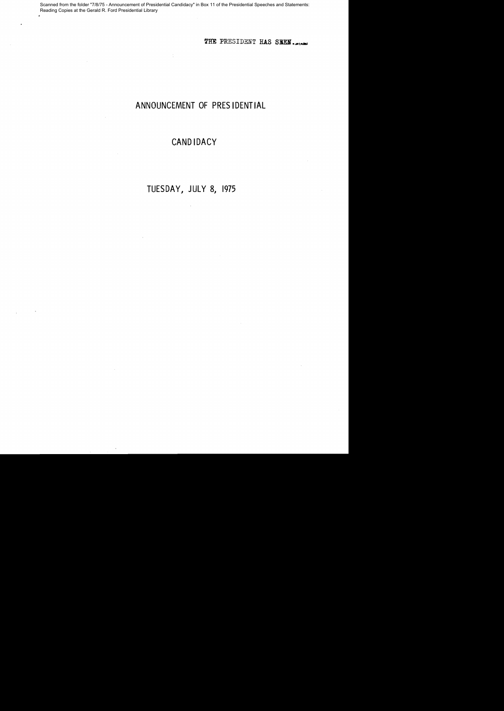Scanned from the folder "7/8/75 - Announcement of Presidential Candidacy" in Box 11 of the Presidential Speeches and Statements: Reading Copies at the Gerald R. Ford Presidential Library

THE PRESIDENT HAS SEEN.

#### ANNOUNCEMENT OF PRES 1DENT **IAL**

#### **CAND IDACY**

# TUESDAY, JULY 8, 1975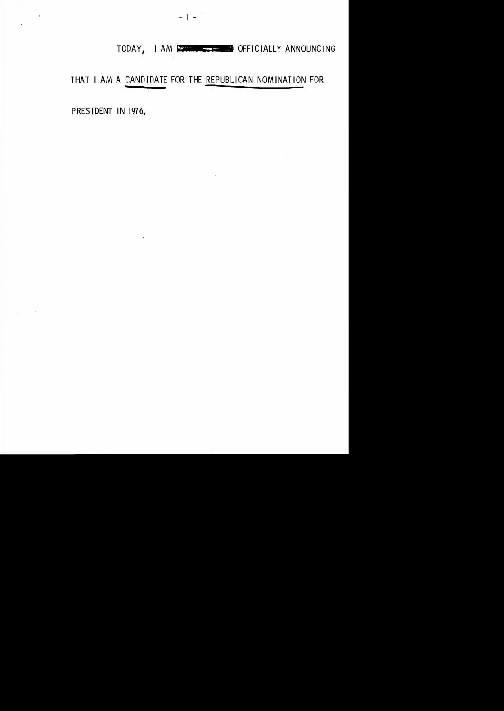# TODAY, I AM ECONOMIC PROPERTY OFFICIALLY ANNOUNCING

THAT I AM A CANDIDATE FOR THE REPUBLICAN NOMINATION FOR

PRES IDENT IN 1976.

 $\sim 10^{-11}$ 

 $\mathbf{r}$ 

 $\ddot{\phantom{1}}$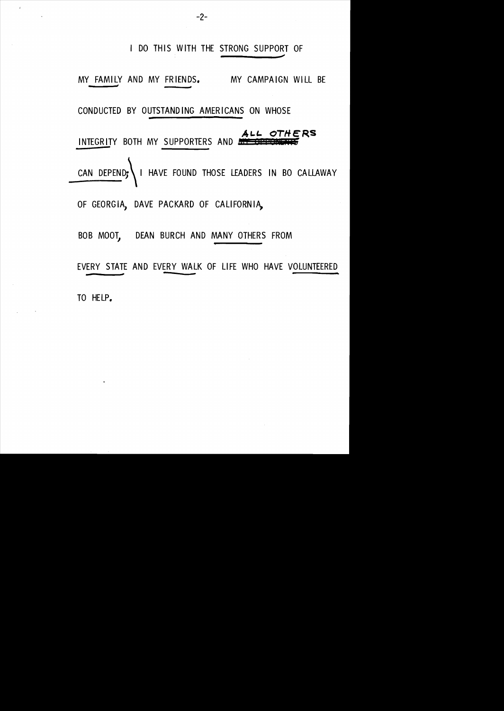I DO THIS WITH THE STRONG SUPPORT OF MY *\_\_*  FAMI LY *d* AND MY FR lENDS. *#* MY CAMPA IGN WI LL BE CONDUCTED BY OUTSTANDING AMERICANS ON WHOSE **AL.L. OTHERS**  INTEGRITY BOTH MY SUPPORTERS AND ... CAN DEPEND; I HAVE FOUND THOSE LEADERS IN BO CALLAWAY OF GEORGIA, DAVE PACKARD OF CALIFORNIA, BOB MOOT, DEAN BURCH AND MANY OTHERS FROM EVERY STATE AND EVERY WALK OF LIFE WHO HAVE VOLUNTEERED - # ~ TO HELP.

 $-2-$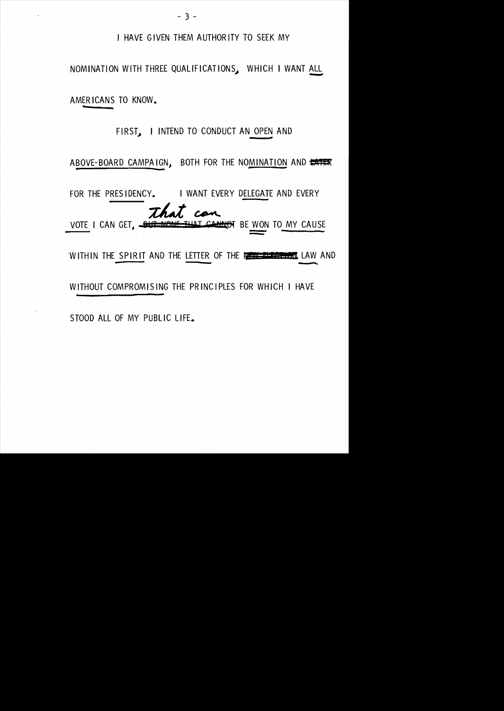I HAVE GIVEN THEM AUTHOR ITY TO SEEK MY

NOMINATION WITH THREE QUALIFICATIONS~ WHICH I WANT ALL <u>ALI</u> AMERICANS TO KNOW.

> FIRST.. I I NTEND TO CONDUCT AN OPEN AND •

ABOVE-BOARD CAMPAIGN, BOTH FOR THE NOMINATION AND UNTER

FOR THE PRESIDENCY. I WANT EVERY DELEGATE AND EVERY That can WON TO MY CAUSE WITHIN THE SPIRIT AND THE LETTER OF THE THE THE THE RESERVE LAW AND WITHOUT COMPROMISING THE PRINCIPLES FOR WHICH I HAVE

STOOD ALL OF MY PUBLIC LIFE.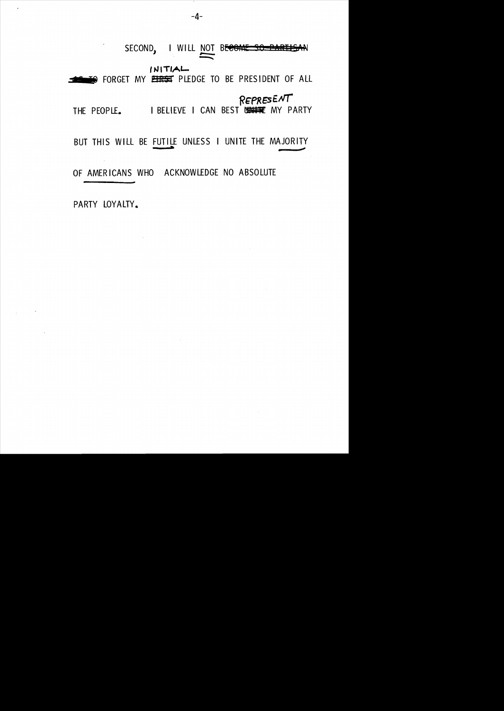SECOND, I WILL NOT BECOME SO PARTISAN  $INITIAL$ O FORGET MY PERSIPLEDGE TO BE PRESIDENT OF ALL THE PEOPLE. I BELIEVE I CAN BEST UNITE MY PARTY BUT THIS WILL BE FUTILE UNLESS I UNITE THE MAJORITY OF AMERICANS WHO ACKNOWLEDGE NO ABSOLUTE

 $\sim$   $\sim$ 

PARTY LOYALTY.

 $\overline{1}$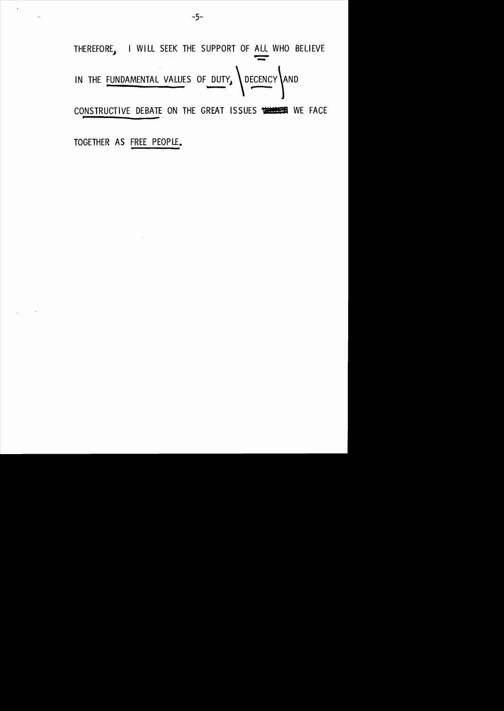THEREFORE, I WILL SEEK THE SUPPORT OF ALL WHO BELIEVE IN THE FUNDAMENTAL VALUES OF DUTY, DECENCY AND CONSTRUCTIVE DEBATE ON THE GREAT ISSUES WELLER WE FACE TOGETHER AS FREE PEOPLE.

 $-5-$ 

 $\mathcal{A}^{\pm}$ 

 $\ddot{\phantom{a}}$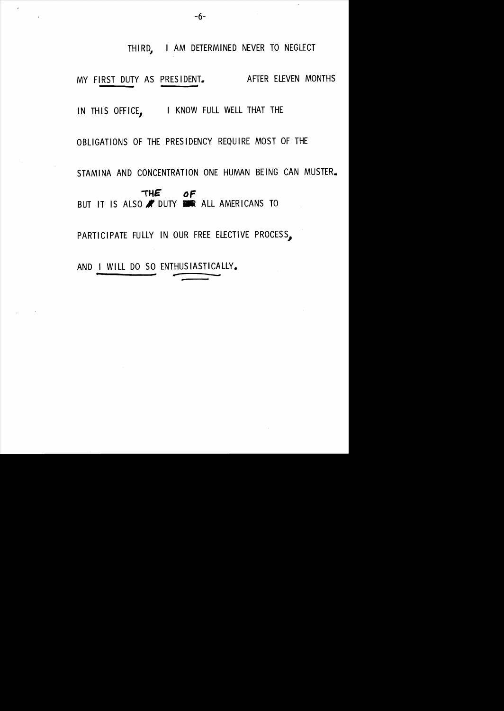THIRD. I AM DETERMINED NEVER TO NEGLECT MY FIRST DUTY AS PRESIDENT. AFTER ELEVEN MONTHS IN THIS OFFICE, I KNOW FULL WELL THAT THE OBLIGATIONS OF THE PRESIDENCY REQUIRE MOST OF THE STAMINA AND CONCENTRATION ONE HUMAN BEING CAN MUSTER. **,HE DF**  BUT IT IS ALSO WOUTY DER ALL AMERICANS TO PARTICIPATE FULLY IN OUR FREE ELECTIVE PROCESS, AND I WILL DO SO ENTHUSIASTICALLY.

." -- --~-

 $\bar{t}$ 

 $\downarrow$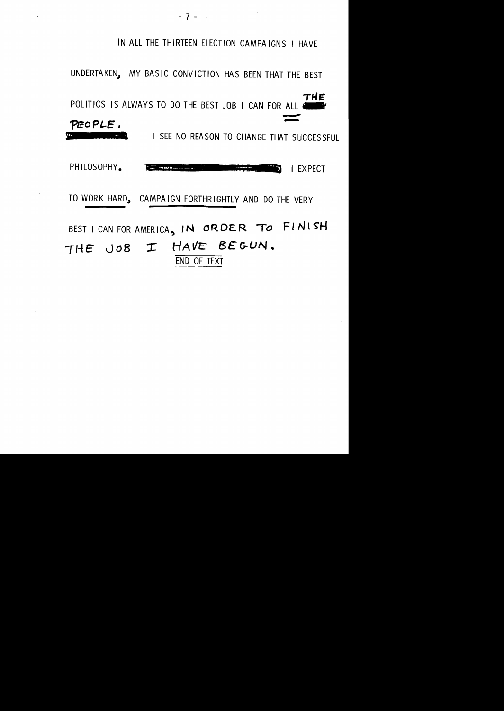IN ALL THE THIRTEEN ELECTION CAMPAIGNS I HAVE UNDERTAKEN, MY BASIC CONVICTION HAS BEEN THAT THE BEST THE POLITICS IS ALWAYS TO DO THE BEST JOB I CAN FOR ALL 4 PEOPLE. I SEE NO REASON TO CHANGE THAT SUCCESSFUL **RAD** PHILOSOPHY. **THE WAND WE I EXPECT** TO WORK HARD, CAMPAIGN FORTHRIGHTLY AND DO THE VERY BEST I CAN FOR AMERICA, IN ORDER TO FINISH I HAVE BEGUN.  $THE JOB$ END OF TEXT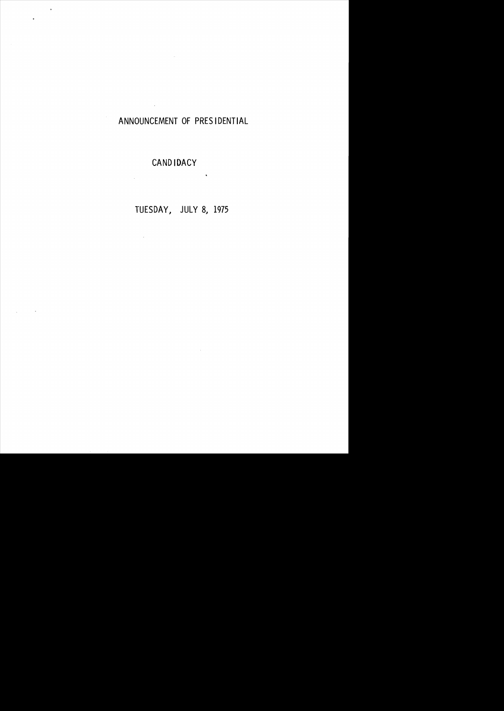#### ANNOUNCEMENT OF PRES IDENTIAL

### CAND IDACY

 $\sim 10^{11}$  km

 $\frac{1}{2}$ 

 $\sim 10^{11}$  km  $^{-1}$ 

 $\bar{\phantom{a}}$ 

J.

# TUESDAY, JULY 8, 1975

 $\ddot{\phantom{0}}$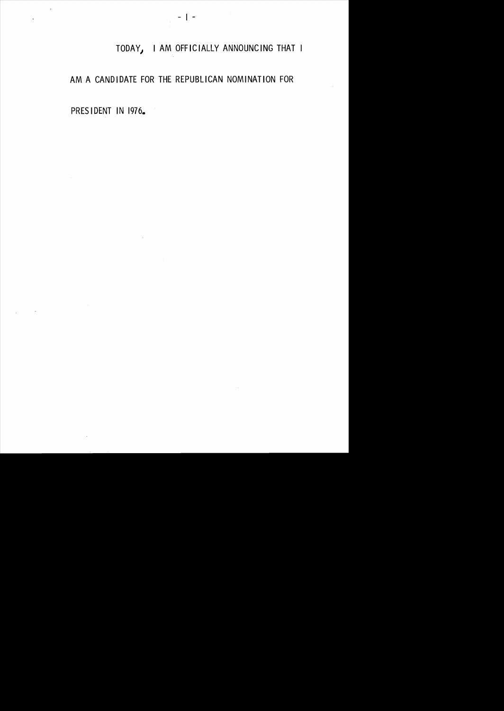#### I TODAY) I AM OFFICIALLY ANNOUNCING THAT

#### AM A CANDIDATE FOR THE REPUBLICAN NOMINATION FOR

PRES IDENT IN 1976.

 $\mathcal{L}_{\mathcal{L}}$ 

 $\ddot{\phantom{0}}$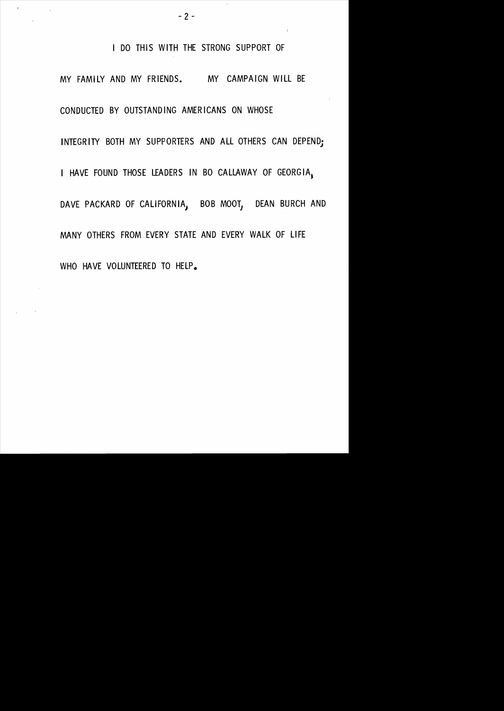I DO THIS WITH THE STRONG SUPPORT OF MY FAMILY AND MY FRIENDS. MY CAMPAIGN WILL BE CONDUCTED BY OUTSTAND ING AMER ICANS ON WHOSE INTEGRITY BOTH MY SUPPORTERS AND ALL OTHERS CAN DEPEND; I HAVE FOUND THOSE LEADERS IN BO CALLAWAY OF GEORGIA. DAVE PACKARD OF CALIFORNIA, BOB MOOT, DEAN BURCH AND MANY OTHERS FROM. EVERY STATE AND EVERY WALK OF LIFE WHO HAVE VOLUNTEERED TO HELP.

 $- 2 -$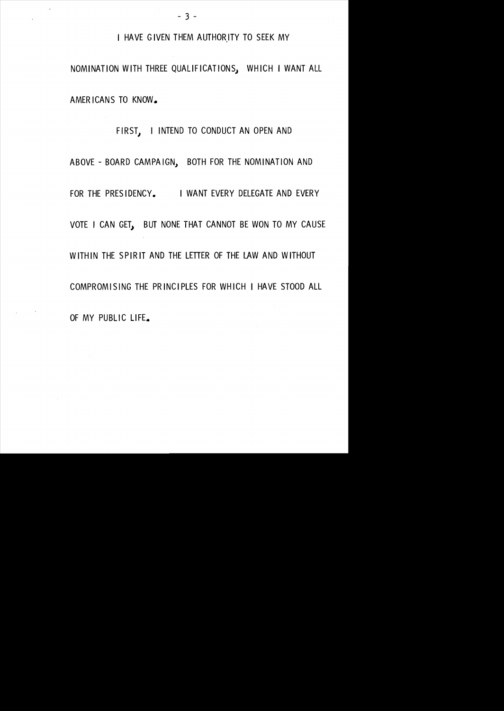I HAVE GIVEN THEM AUTHOR,ITY TO SEEK MY

NOMINATION WITH THREE QUALIFICATIONS) WHICH I WANT ALL AMER ICANS TO KNOW.

FIRST, I INTEND TO CONDUCT AN OPEN AND ABOVE - BOARD CAMPA IGN, BOTH FOR THE NOMINATION AND FOR THE PRESIDENCY. I WANT EVERY DELEGATE AND EVERY VOTE I CAN GET, BUT NONE THAT CANNOT BE WON TO MY CAUSE WITHIN THE SPIRIT AND THE LETTER OF THE LAW AND WITHOUT COMPROMISING THE PRINCIPLES FOR WHICH I HAVE STOOD ALL OF MY PUBLIC LIFE.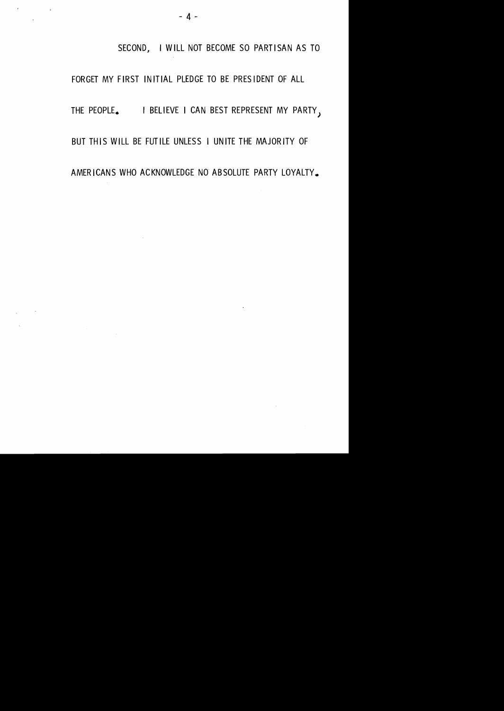SECOND, I WILL NOT BECOME SO PARTISAN AS TO

FORGET MY FIRST INITIAL PLEDGE TO BE PRESIDENT OF ALL THE PEOPLE. I BELIEVE I CAN BEST REPRESENT MY PARTY, BUT THIS WILL BE FUTILE UNLESS I UNITE THE MAJORITY OF AMER ICANS WHO ACKNOWLEDGE NO" ABSOLUTE PARTY LOYALTY.

 $\mathbf{E} = \mathbf{E} \times \mathbf{E}$  , where  $\mathbf{E} = \mathbf{E} \times \mathbf{E}$ 

 $\sim 100$  km s  $^{-1}$ 

 $\label{eq:2} \frac{1}{\sqrt{2}}\sum_{i=1}^n\frac{1}{\sqrt{2}}\sum_{i=1}^n\frac{1}{\sqrt{2}}\sum_{i=1}^n\frac{1}{\sqrt{2}}\sum_{i=1}^n\frac{1}{\sqrt{2}}\sum_{i=1}^n\frac{1}{\sqrt{2}}\sum_{i=1}^n\frac{1}{\sqrt{2}}\sum_{i=1}^n\frac{1}{\sqrt{2}}\sum_{i=1}^n\frac{1}{\sqrt{2}}\sum_{i=1}^n\frac{1}{\sqrt{2}}\sum_{i=1}^n\frac{1}{\sqrt{2}}\sum_{i=1}^n\frac{1$ 

 $\sim$   $\sim$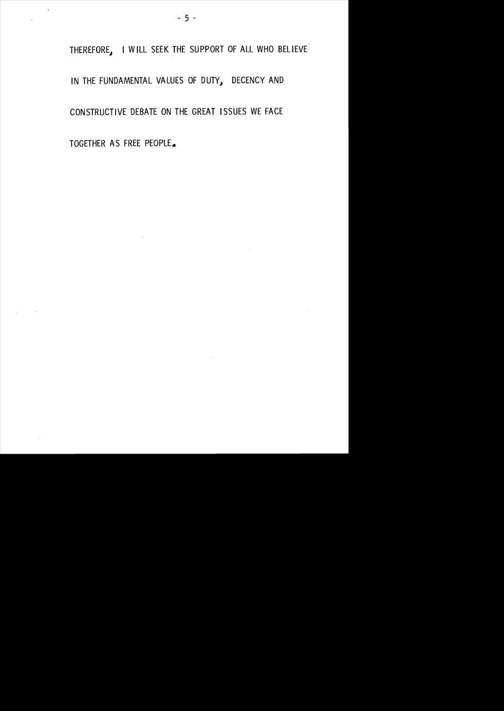THEREFORE, I WILL SEEK THE SUPPORT OF ALL WHO BELIEVE IN THE FUNDAMENTAL VALUES OF DUTY, DECENCY AND CONSTRUCTIVE DEBATE ON THE GREAT ISSUES WE FACE

 $\sim 10^{-1}$ 

TOGETHER AS FREE PEOPLE.

 $\sim$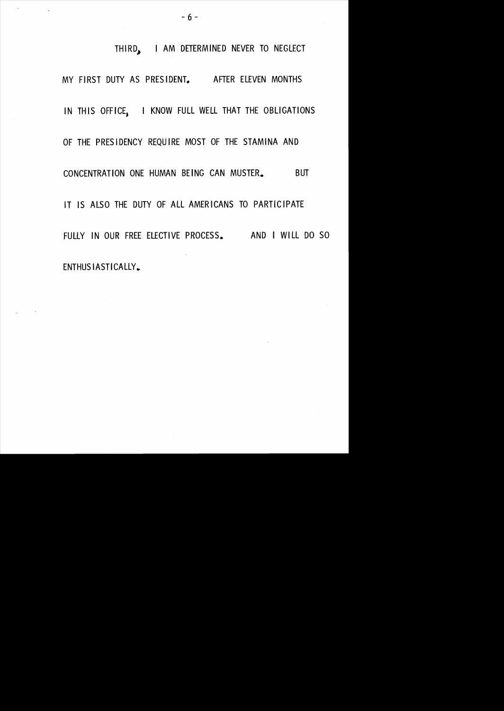THIRD.. I AM DETERMINED NEVER TO NEGLECT MY FIRST DUTY AS PRESIDENT. AFTER ELEVEN MONTHS IN THIS OFFICE, I KNOW FULL WELL THAT THE OBLIGATIONS OF THE PRESIDENCY REQUIRE MOST OF THE STAMINA AND CONCENTRATION ONE HUMAN BEING CAN MUSTER. BUT IT IS ALSO THE DUTY OF ALL AMERICANS TO PARTICIPATE FULLY IN OUR FREE ELECTIVE PROCESS. AND I WILL DO SO ENTHUSIASTICALLY.